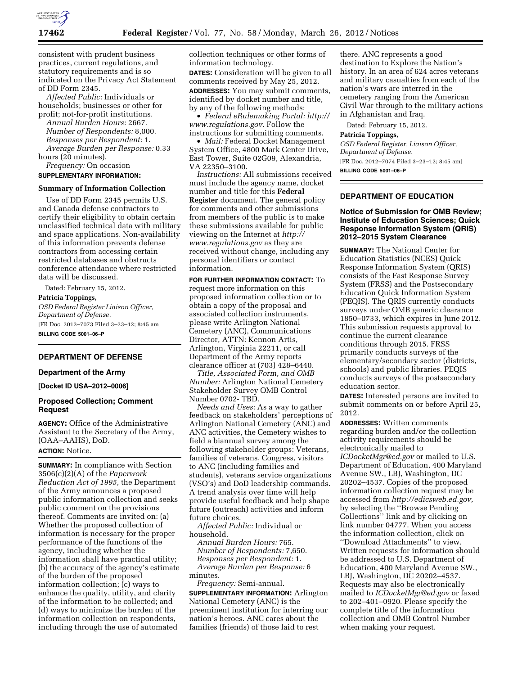

consistent with prudent business practices, current regulations, and statutory requirements and is so indicated on the Privacy Act Statement of DD Form 2345.

*Affected Public:* Individuals or households; businesses or other for profit; not-for-profit institutions.

*Annual Burden Hours:* 2667. *Number of Respondents:* 8,000. *Responses per Respondent:* 1. *Average Burden per Response:* 0.33 hours (20 minutes).

*Frequency:* On occasion

### **SUPPLEMENTARY INFORMATION:**

#### **Summary of Information Collection**

Use of DD Form 2345 permits U.S. and Canada defense contractors to certify their eligibility to obtain certain unclassified technical data with military and space applications. Non-availability of this information prevents defense contractors from accessing certain restricted databases and obstructs conference attendance where restricted data will be discussed.

Dated: February 15, 2012. **Patricia Toppings,**  *OSD Federal Register Liaison Officer, Department of Defense.*  [FR Doc. 2012–7073 Filed 3–23–12; 8:45 am] **BILLING CODE 5001–06–P** 

# **DEPARTMENT OF DEFENSE**

#### **Department of the Army**

**[Docket ID USA–2012–0006]** 

### **Proposed Collection; Comment Request**

**AGENCY:** Office of the Administrative Assistant to the Secretary of the Army, (OAA–AAHS), DoD. **ACTION:** Notice.

**SUMMARY:** In compliance with Section 3506(c)(2)(A) of the *Paperwork Reduction Act of 1995,* the Department of the Army announces a proposed public information collection and seeks public comment on the provisions thereof. Comments are invited on: (a) Whether the proposed collection of information is necessary for the proper performance of the functions of the agency, including whether the information shall have practical utility; (b) the accuracy of the agency's estimate of the burden of the proposed information collection; (c) ways to enhance the quality, utility, and clarity of the information to be collected; and (d) ways to minimize the burden of the information collection on respondents, including through the use of automated

collection techniques or other forms of information technology.

**DATES:** Consideration will be given to all comments received by May 25, 2012.

**ADDRESSES:** You may submit comments, identified by docket number and title, by any of the following methods:

• *Federal eRulemaking Portal: [http://](http://www.regulations.gov)  [www.regulations.gov.](http://www.regulations.gov)* Follow the instructions for submitting comments.

• *Mail:* Federal Docket Management System Office, 4800 Mark Center Drive, East Tower, Suite 02G09, Alexandria, VA 22350–3100.

*Instructions:* All submissions received must include the agency name, docket number and title for this **Federal Register** document. The general policy for comments and other submissions from members of the public is to make these submissions available for public viewing on the Internet at *[http://](http://www.regulations.gov) [www.regulations.gov](http://www.regulations.gov)* as they are received without change, including any personal identifiers or contact information.

**FOR FURTHER INFORMATION CONTACT:** To request more information on this proposed information collection or to obtain a copy of the proposal and associated collection instruments, please write Arlington National Cemetery (ANC), Communications Director, ATTN: Kennon Artis, Arlington, Virginia 22211, or call Department of the Army reports clearance officer at (703) 428–6440.

*Title, Associated Form, and OMB Number:* Arlington National Cemetery Stakeholder Survey OMB Control Number 0702- TBD.

*Needs and Uses:* As a way to gather feedback on stakeholders' perceptions of Arlington National Cemetery (ANC) and ANC activities, the Cemetery wishes to field a biannual survey among the following stakeholder groups: Veterans, families of veterans, Congress, visitors to ANC (including families and students), veterans service organizations (VSO's) and DoD leadership commands. A trend analysis over time will help provide useful feedback and help shape future (outreach) activities and inform future choices.

*Affected Public:* Individual or household.

*Annual Burden Hours:* 765. *Number of Respondents:* 7,650. *Responses per Respondent:* 1. *Average Burden per Response:* 6 minutes.

*Frequency:* Semi-annual.

**SUPPLEMENTARY INFORMATION:** Arlington National Cemetery (ANC) is the preeminent institution for interring our nation's heroes. ANC cares about the families (friends) of those laid to rest

there. ANC represents a good destination to Explore the Nation's history. In an area of 624 acres veterans and military casualties from each of the nation's wars are interred in the cemetery ranging from the American Civil War through to the military actions in Afghanistan and Iraq.

Dated: February 15, 2012.

#### **Patricia Toppings,**

*OSD Federal Register, Liaison Officer, Department of Defense.*  [FR Doc. 2012–7074 Filed 3–23–12; 8:45 am] **BILLING CODE 5001–06–P** 

# **DEPARTMENT OF EDUCATION**

## **Notice of Submission for OMB Review; Institute of Education Sciences; Quick Response Information System (QRIS) 2012–2015 System Clearance**

**SUMMARY:** The National Center for Education Statistics (NCES) Quick Response Information System (QRIS) consists of the Fast Response Survey System (FRSS) and the Postsecondary Education Quick Information System (PEQIS). The QRIS currently conducts surveys under OMB generic clearance 1850–0733, which expires in June 2012. This submission requests approval to continue the current clearance conditions through 2015. FRSS primarily conducts surveys of the elementary/secondary sector (districts, schools) and public libraries. PEQIS conducts surveys of the postsecondary education sector.

**DATES:** Interested persons are invited to submit comments on or before April 25, 2012.

**ADDRESSES:** Written comments regarding burden and/or the collection activity requirements should be electronically mailed to *[ICDocketMgr@ed.gov](mailto:ICDocketMgr@ed.gov)* or mailed to U.S. Department of Education, 400 Maryland Avenue SW., LBJ, Washington, DC 20202–4537. Copies of the proposed information collection request may be accessed from *[http://edicsweb.ed.gov,](http://edicsweb.ed.gov)*  by selecting the ''Browse Pending Collections'' link and by clicking on link number 04777. When you access the information collection, click on ''Download Attachments'' to view. Written requests for information should be addressed to U.S. Department of Education, 400 Maryland Avenue SW., LBJ, Washington, DC 20202–4537. Requests may also be electronically mailed to *[ICDocketMgr@ed.gov](mailto:ICDocketMgr@ed.gov)* or faxed to 202–401–0920. Please specify the complete title of the information collection and OMB Control Number when making your request.